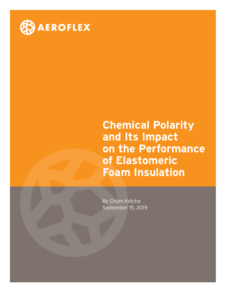

**Chemical Polarity and Its Impact on the Performance of Elastomeric Foam Insulation**

By Chum Kotcha September 15, 2019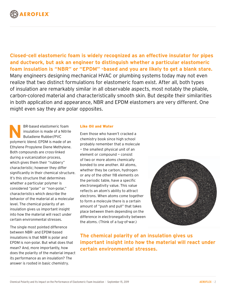

**Closed-cell elastomeric foam is widely recognized as an effective insulator for pipes and ductwork, but ask an engineer to distinguish whether a particular elastomeric foam insulation is "NBR" or "EPDM" -based and you are likely to get a blank stare.**  Many engineers designing mechanical HVAC or plumbing systems today may not even realize that two distinct formulations for elastomeric foam exist. After all, both types of insulation are remarkably similar in all observable aspects, most notably the pliable, carbon-colored material and characteristically smooth skin. But despite their similarities in both application and appearance, NBR and EPDM elastomers are very different. One might even say they are polar opposites.

**N**BR-based elastomeric foam insulation is made of a Nitrile Butadiene Rubber/PVC polymeric blend. EPDM is made of an Ethylene Propylene Diene Methylene. Both compounds are cross-linked during a vulcanization process, which gives them their "rubbery" characteristic; however they differ significantly in their chemical structure. It's this structure that determines whether a particular polymer is considered "polar" or "non-polar," characteristics which describe the behavior of the material at a molecular level. The chemical polarity of an insulation gives us important insight into how the material will react under certain environmental stresses.

The single most pointed difference between NBR- and EPDM-based insulations is that NBR is polar and EPDM is non-polar. But what does that mean? And, more importantly, how does the polarity of the material impact its performance as an insulation? The answer is rooted in basic chemistry.

# Like Oil and Water

Even those who haven't cracked a chemistry book since high school probably remember that a molecule — the smallest physical unit of an element or compound — consist of two or more atoms chemically bonded to one another. All atoms, whether they be carbon, hydrogen or any of the other 118 elements on the periodic table, have a specific electronegativity value. This value reflects an atom's ability to attract electrons. When atoms come together to form a molecule there is a certain amount of "push and pull" that takes place between them depending on the difference in electronegativity between the atoms. (Think of a tug-of-war.)



**The chemical polarity of an insulation gives us important insight into how the material will react under certain environmental stresses.**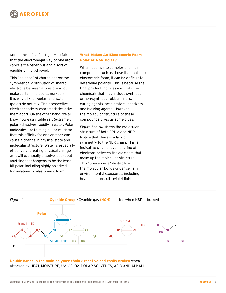

Sometimes it's a fair fight — so fair that the electronegativity of one atom cancels the other out and a sort of equilibrium is achieved.

This "balance" of charge and/or the symmetrical distribution of shared electrons between atoms are what make certain molecules non-polar. It is why oil (non-polar) and water (polar) do not mix. Their respective electronegativity characteristics drive them apart. On the other hand, we all know how easily table salt (extremely polar!) dissolves rapidly in water. Polar molecules like to mingle — so much so that this affinity for one another can cause a change in physical state and molecular structure. Water is especially effective at creating physical change as it will eventually dissolve just about anything that happens to be the least bit polar, including highly polarized formulations of elastomeric foam.

# What Makes An Elastomeric Foam Polar or Non-Polar?

When it comes to complex chemical compounds such as those that make up elastomeric foam, it can be difficult to determine polarity. This is because the final product includes a mix of other chemicals that may include synthetic or non-synthetic rubber, fillers, curing agents, accelerators, peptizers and blowing agents. However, the molecular structure of these compounds gives us some clues.

*Figure 1* below shows the molecular structure of both EPDM and NBR. Notice that there is a lack of symmetry to the NBR chain. This is indicative of an uneven sharing of electrons between the elements that make up the molecular structure. This "unevenness" destabilizes the molecular bonds under certain environmental exposures, including heat, moisture, ultraviolet light,



**Double bonds in the main polymer chain > reactive and easily broken** when attacked by HEAT, MOISTURE, UV, O3, O2, POLAR SOLVENTS, ACID AND ALKALI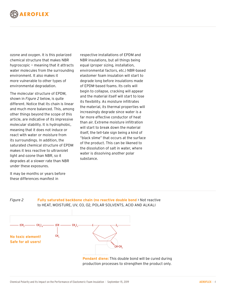

ozone and oxygen. It is this polarized chemical structure that makes NBR hygroscopic — meaning that it attracts water molecules from the surrounding environment. It also makes it more vulnerable to other types of environmental degradation.

The molecular structure of EPDM, shown in *Figure 2* below, is quite different. Notice that its chain is linear and much more balanced. This, among other things beyond the scope of this article, are indicative of its impressive molecular stability. It is hydrophobic, meaning that it does not induce or react with water or moisture from its surroundings. In addition, the saturated chemical structure of EPDM makes it less reactive to ultraviolet light and ozone than NBR, so it degrades at a slower rate than NBR under these exposures.

respective installations of EPDM and NBR insulations, but all things being equal (proper sizing, installation, environmental factors, etc.) NBR-based elastomer foam insulation will start to degrade long before insulations made of EPDM-based foams. Its cells will begin to collapse, cracking will appear and the material itself will start to lose its flexibility. As moisture infiltrates the material, its thermal properties will increasingly degrade since water is a far more effective conductor of heat than air. Extreme moisture infiltration will start to break down the material itself, the tell-tale sign being a kind of "black slime" that occurs at the surface of the product. This can be likened to the dissolution of salt in water, where water is dissolving another polar substance.

It may be months or years before these differences manifest in



**Pendant diene:** This double bond will be cured during production processes to strengthen the product only.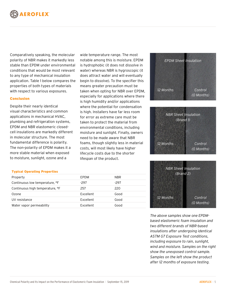

Comparatively speaking, the molecular polarity of NBR makes it markedly less stable than EPDM under environmental conditions that would be most relevant to any type of mechanical insulation application. Table 1 below compares the properties of both types of materials with respect to various exposures.

## Conclusion

Despite their nearly identical visual characteristics and common applications in mechanical HVAC, plumbing and refrigeration systems, EPDM and NBR elastomeric closedcell insulations are markedly different in molecular structure. The most fundamental difference is polarity. The non-polarity of EPDM makes it a more stable material when exposed to moisture, sunlight, ozone and a

wide temperature range. The most notable among this is moisture. EPDM is hydrophobic (it does not dissolve in water) whereas NBR is hygroscopic (it does attract water and will eventually begin to dissolve). To the specifier this means greater precaution must be taken when opting for NBR over EPDM, especially for applications where there is high humidity and/or applications where the potential for condensation is high. Installers have far less room for error as extreme care must be taken to protect the material from environmental conditions, including moisture and sunlight. Finally, owners need to be made aware that NBR foams, though slightly less in material costs, will most likely have higher lifecycle costs due to the shorter lifespan of the product.

# *EPDM Sheet Insulation 12 Months Control (0 Months)*



#### Typical Operating Properties

| Property                                    | EPDM             | NBR. |
|---------------------------------------------|------------------|------|
| Continuous low temperature, <sup>o</sup> F  | -297             | -297 |
| Continuous high temperature, <sup>o</sup> F | 257              | 220  |
| Ozone                                       | Excellent        | Good |
| UV resistance                               | Excellent        | Good |
| Water vapor permeability                    | <b>Excellent</b> | Good |



*The above samples show one EPDMbased elastomeric foam insulation and two different brands of NBR-based insulations after undergoing identical ASTM G7 Exposure Test conditions, including exposure to rain, sunlight, wind and moisture. Samples on the right show the unexposed control sample. Samples on the left show the product after 12 months of exposure testing.*